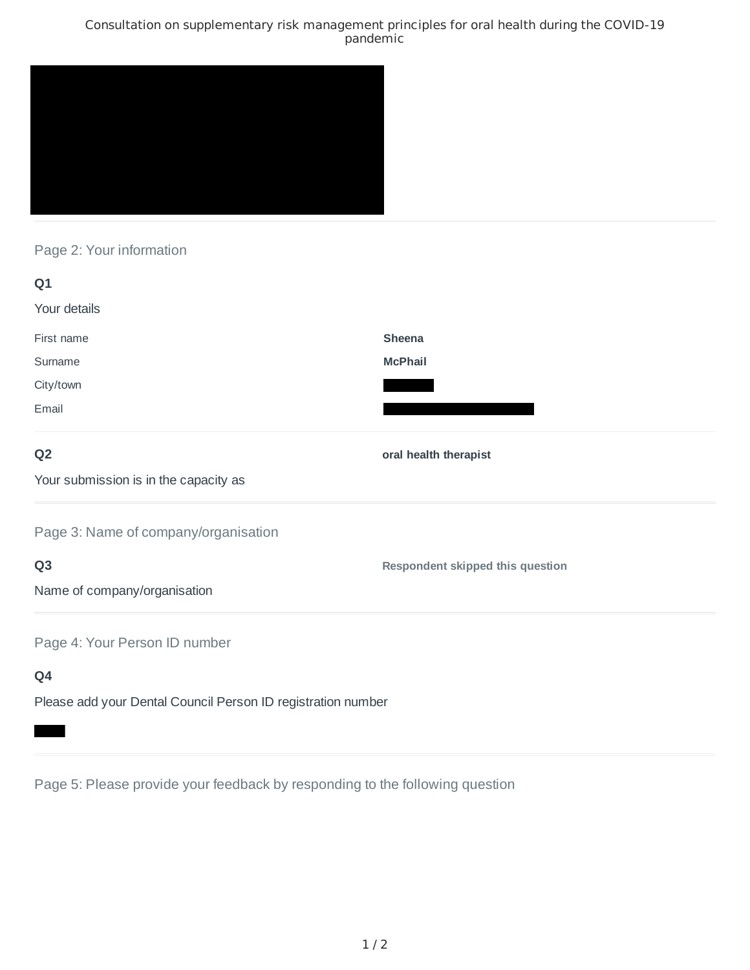### Consultation on supplementary risk management principles for oral health during the COVID-19 pandemic



# Page 2: Your information

| Q1                                                           |                                         |
|--------------------------------------------------------------|-----------------------------------------|
| Your details                                                 |                                         |
| First name                                                   | Sheena                                  |
| Surname                                                      | <b>McPhail</b>                          |
| City/town                                                    |                                         |
| Email                                                        |                                         |
| Q <sub>2</sub>                                               | oral health therapist                   |
| Your submission is in the capacity as                        |                                         |
| Page 3: Name of company/organisation                         |                                         |
| Q <sub>3</sub>                                               | <b>Respondent skipped this question</b> |
| Name of company/organisation                                 |                                         |
| Page 4: Your Person ID number                                |                                         |
| Q4                                                           |                                         |
| Please add your Dental Council Person ID registration number |                                         |

Page 5: Please provide your feedback by responding to the following question